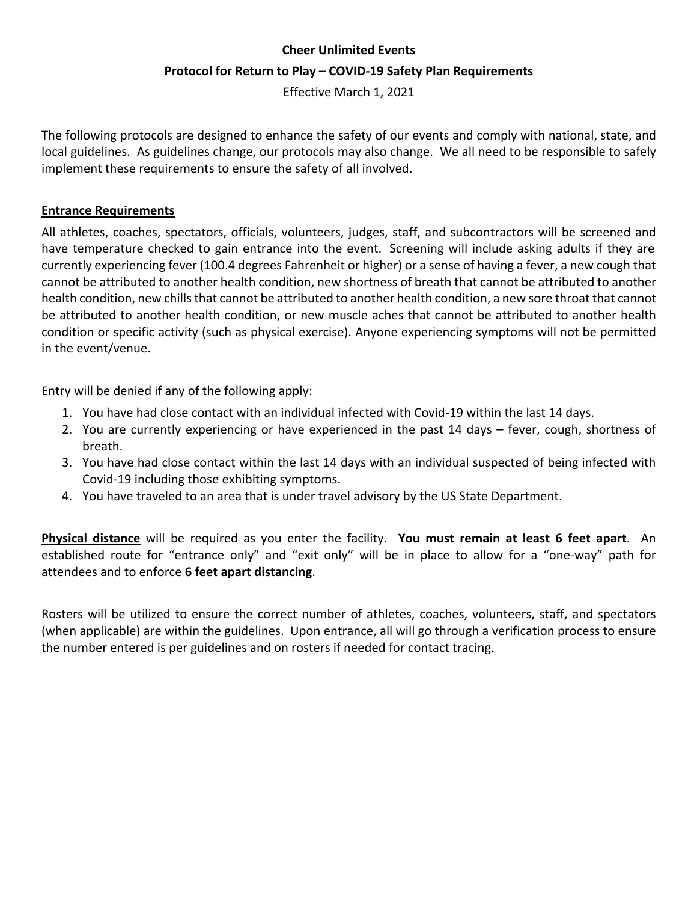## **Cheer Unlimited Events Protocol for Return to Play – COVID-19 Safety Plan Requirements**

Effective March 1, 2021

The following protocols are designed to enhance the safety of our events and comply with national, state, and local guidelines. As guidelines change, our protocols may also change. We all need to be responsible to safely implement these requirements to ensure the safety of all involved.

## **Entrance Requirements**

All athletes, coaches, spectators, officials, volunteers, judges, staff, and subcontractors will be screened and have temperature checked to gain entrance into the event. Screening will include asking adults if they are currently experiencing fever (100.4 degrees Fahrenheit or higher) or a sense of having a fever, a new cough that cannot be attributed to another health condition, new shortness of breath that cannot be attributed to another health condition, new chills that cannot be attributed to another health condition, a new sore throat that cannot be attributed to another health condition, or new muscle aches that cannot be attributed to another health condition or specific activity (such as physical exercise). Anyone experiencing symptoms will not be permitted in the event/venue.

Entry will be denied if any of the following apply:

- 1. You have had close contact with an individual infected with Covid-19 within the last 14 days.
- 2. You are currently experiencing or have experienced in the past 14 days  $-$  fever, cough, shortness of breath.
- 3. You have had close contact within the last 14 days with an individual suspected of being infected with Covid-19 including those exhibiting symptoms.
- 4. You have traveled to an area that is under travel advisory by the US State Department.

**Physical distance** will be required as you enter the facility. You must remain at least 6 feet apart. An established route for "entrance only" and "exit only" will be in place to allow for a "one-way" path for attendees and to enforce **6 feet apart distancing**. 

Rosters will be utilized to ensure the correct number of athletes, coaches, volunteers, staff, and spectators (when applicable) are within the guidelines. Upon entrance, all will go through a verification process to ensure the number entered is per guidelines and on rosters if needed for contact tracing.